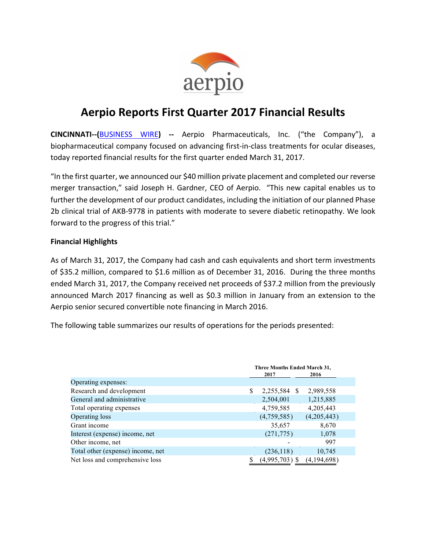

# **Aerpio Reports First Quarter 2017 Financial Results**

**CINCINNATI--(**BUSINESS WIRE**) --** Aerpio Pharmaceuticals, Inc. ("the Company"), a biopharmaceutical company focused on advancing first-in-class treatments for ocular diseases, today reported financial results for the first quarter ended March 31, 2017.

"In the first quarter, we announced our \$40 million private placement and completed our reverse merger transaction," said Joseph H. Gardner, CEO of Aerpio. "This new capital enables us to further the development of our product candidates, including the initiation of our planned Phase 2b clinical trial of AKB-9778 in patients with moderate to severe diabetic retinopathy. We look forward to the progress of this trial."

## **Financial Highlights**

As of March 31, 2017, the Company had cash and cash equivalents and short term investments of \$35.2 million, compared to \$1.6 million as of December 31, 2016. During the three months ended March 31, 2017, the Company received net proceeds of \$37.2 million from the previously announced March 2017 financing as well as \$0.3 million in January from an extension to the Aerpio senior secured convertible note financing in March 2016.

The following table summarizes our results of operations for the periods presented:

|                                   | Three Months Ended March 31,<br>2016<br>2017 |                            |             |  |  |
|-----------------------------------|----------------------------------------------|----------------------------|-------------|--|--|
| Operating expenses:               |                                              |                            |             |  |  |
| Research and development          | \$                                           | 2,255,584<br><sup>\$</sup> | 2,989,558   |  |  |
| General and administrative        |                                              | 2,504,001                  | 1,215,885   |  |  |
| Total operating expenses          |                                              | 4,759,585                  | 4,205,443   |  |  |
| Operating loss                    |                                              | (4,759,585)                | (4,205,443) |  |  |
| Grant income                      |                                              | 35,657                     | 8,670       |  |  |
| Interest (expense) income, net    |                                              | (271, 775)                 | 1,078       |  |  |
| Other income, net                 |                                              |                            | 997         |  |  |
| Total other (expense) income, net |                                              | (236, 118)                 | 10,745      |  |  |
| Net loss and comprehensive loss   | \$                                           | $(4,995,703)$ \$           | (4,194,698) |  |  |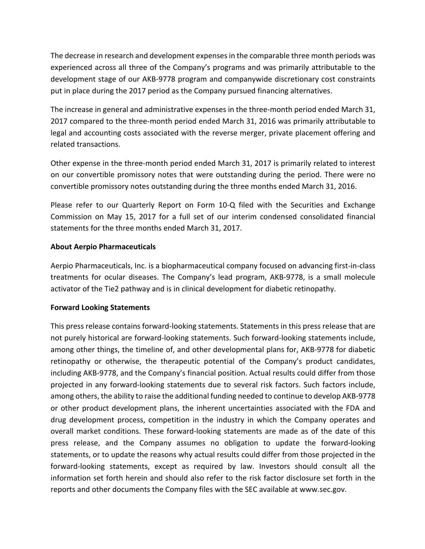The decrease in research and development expenses in the comparable three month periods was experienced across all three of the Company's programs and was primarily attributable to the development stage of our AKB-9778 program and companywide discretionary cost constraints put in place during the 2017 period as the Company pursued financing alternatives.

The increase in general and administrative expenses in the three-month period ended March 31, 2017 compared to the three-month period ended March 31, 2016 was primarily attributable to legal and accounting costs associated with the reverse merger, private placement offering and related transactions.

Other expense in the three-month period ended March 31, 2017 is primarily related to interest on our convertible promissory notes that were outstanding during the period. There were no convertible promissory notes outstanding during the three months ended March 31, 2016.

Please refer to our Quarterly Report on Form 10-Q filed with the Securities and Exchange Commission on May 15, 2017 for a full set of our interim condensed consolidated financial statements for the three months ended March 31, 2017.

## **About Aerpio Pharmaceuticals**

Aerpio Pharmaceuticals, Inc. is a biopharmaceutical company focused on advancing first-in-class treatments for ocular diseases. The Company's lead program, AKB-9778, is a small molecule activator of the Tie2 pathway and is in clinical development for diabetic retinopathy.

## **Forward Looking Statements**

This press release contains forward-looking statements. Statements in this press release that are not purely historical are forward-looking statements. Such forward-looking statements include, among other things, the timeline of, and other developmental plans for, AKB-9778 for diabetic retinopathy or otherwise, the therapeutic potential of the Company's product candidates, including AKB-9778, and the Company's financial position. Actual results could differ from those projected in any forward-looking statements due to several risk factors. Such factors include, among others, the ability to raise the additional funding needed to continue to develop AKB-9778 or other product development plans, the inherent uncertainties associated with the FDA and drug development process, competition in the industry in which the Company operates and overall market conditions. These forward-looking statements are made as of the date of this press release, and the Company assumes no obligation to update the forward-looking statements, or to update the reasons why actual results could differ from those projected in the forward-looking statements, except as required by law. Investors should consult all the information set forth herein and should also refer to the risk factor disclosure set forth in the reports and other documents the Company files with the SEC available at www.sec.gov.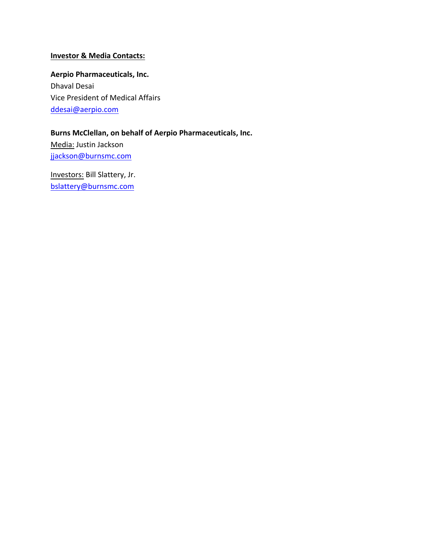## **Investor & Media Contacts:**

**Aerpio Pharmaceuticals, Inc.** Dhaval Desai Vice President of Medical Affairs ddesai@aerpio.com

## **Burns McClellan, on behalf of Aerpio Pharmaceuticals, Inc.** Media: Justin Jackson

jjackson@burnsmc.com

Investors: Bill Slattery, Jr. bslattery@burnsmc.com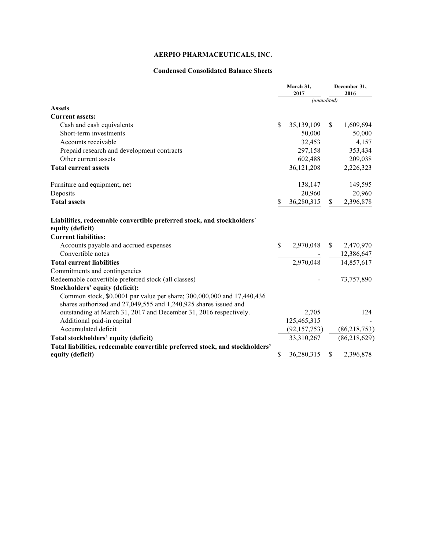## **AERPIO PHARMACEUTICALS, INC.**

#### **Condensed Consolidated Balance Sheets**

|                                                                              | March 31,<br>2017 |                | December 31,<br>2016 |                        |
|------------------------------------------------------------------------------|-------------------|----------------|----------------------|------------------------|
|                                                                              |                   | (unaudited)    |                      |                        |
| <b>Assets</b>                                                                |                   |                |                      |                        |
| <b>Current assets:</b>                                                       |                   |                |                      |                        |
| Cash and cash equivalents                                                    | \$.               | 35,139,109     | <sup>S</sup>         | 1,609,694              |
| Short-term investments                                                       |                   | 50,000         |                      | 50,000                 |
| Accounts receivable                                                          |                   | 32,453         |                      | 4,157                  |
| Prepaid research and development contracts                                   |                   | 297,158        |                      | 353,434                |
| Other current assets                                                         |                   | 602,488        |                      | 209,038                |
| <b>Total current assets</b>                                                  |                   | 36,121,208     |                      | 2,226,323              |
| Furniture and equipment, net                                                 |                   | 138,147        |                      | 149,595                |
| Deposits                                                                     |                   | 20,960         |                      | 20,960                 |
| <b>Total assets</b>                                                          | \$                | 36,280,315     | $\mathbb{S}$         | 2,396,878              |
| Liabilities, redeemable convertible preferred stock, and stockholders'       |                   |                |                      |                        |
| equity (deficit)                                                             |                   |                |                      |                        |
| <b>Current liabilities:</b>                                                  |                   |                |                      |                        |
| Accounts payable and accrued expenses                                        | $\mathbf S$       |                |                      | 2,970,048 \$ 2,470,970 |
| Convertible notes                                                            |                   |                |                      | $-12,386,647$          |
| <b>Total current liabilities</b>                                             |                   | 2,970,048      |                      | 14,857,617             |
| Commitments and contingencies                                                |                   |                |                      |                        |
| Redeemable convertible preferred stock (all classes)                         |                   |                |                      | 73,757,890             |
| Stockholders' equity (deficit):                                              |                   |                |                      |                        |
| Common stock, \$0.0001 par value per share; 300,000,000 and 17,440,436       |                   |                |                      |                        |
| shares authorized and 27,049,555 and 1,240,925 shares issued and             |                   |                |                      |                        |
| outstanding at March 31, 2017 and December 31, 2016 respectively.            |                   | 2,705          |                      | 124                    |
| Additional paid-in capital                                                   |                   | 125,465,315    |                      |                        |
| Accumulated deficit                                                          |                   | (92, 157, 753) |                      | (86, 218, 753)         |
| Total stockholders' equity (deficit)                                         |                   | 33,310,267     |                      | (86, 218, 629)         |
| Total liabilities, redeemable convertible preferred stock, and stockholders' |                   |                |                      |                        |
| equity (deficit)                                                             | \$                | 36,280,315     | \$                   | 2,396,878              |